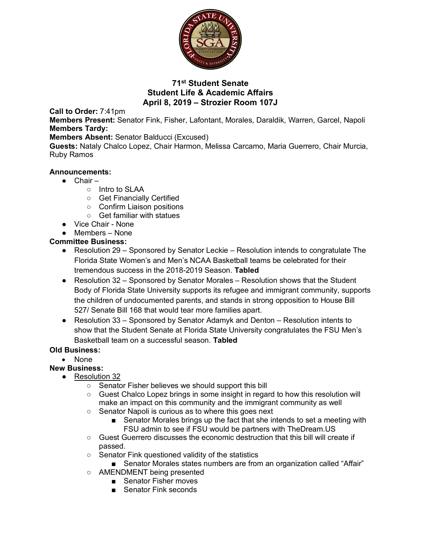

## **71st Student Senate Student Life & Academic Affairs April 8, 2019 – Strozier Room 107J**

**Call to Order:** 7:41pm

**Members Present:** Senator Fink, Fisher, Lafontant, Morales, Daraldik, Warren, Garcel, Napoli **Members Tardy:**

**Members Absent:** Senator Balducci (Excused)

**Guests:** Nataly Chalco Lopez, Chair Harmon, Melissa Carcamo, Maria Guerrero, Chair Murcia, Ruby Ramos

#### **Announcements:**

- Chair
	- Intro to SLAA
	- Get Financially Certified
	- Confirm Liaison positions
	- Get familiar with statues
- Vice Chair None
- Members None

### **Committee Business:**

- Resolution 29 Sponsored by Senator Leckie Resolution intends to congratulate The Florida State Women's and Men's NCAA Basketball teams be celebrated for their tremendous success in the 2018-2019 Season. **Tabled**
- Resolution 32 Sponsored by Senator Morales Resolution shows that the Student Body of Florida State University supports its refugee and immigrant community, supports the children of undocumented parents, and stands in strong opposition to House Bill 527/ Senate Bill 168 that would tear more families apart.
- Resolution 33 Sponsored by Senator Adamyk and Denton Resolution intents to show that the Student Senate at Florida State University congratulates the FSU Men's Basketball team on a successful season. **Tabled**

### **Old Business:**

• None

### **New Business:**

- Resolution 32
	- Senator Fisher believes we should support this bill
	- Guest Chalco Lopez brings in some insight in regard to how this resolution will make an impact on this community and the immigrant community as well
	- Senator Napoli is curious as to where this goes next
		- Senator Morales brings up the fact that she intends to set a meeting with FSU admin to see if FSU would be partners with TheDream.US
	- Guest Guerrero discusses the economic destruction that this bill will create if passed.
	- Senator Fink questioned validity of the statistics
	- Senator Morales states numbers are from an organization called "Affair"
	- AMENDMENT being presented
		- Senator Fisher moves
		- Senator Fink seconds